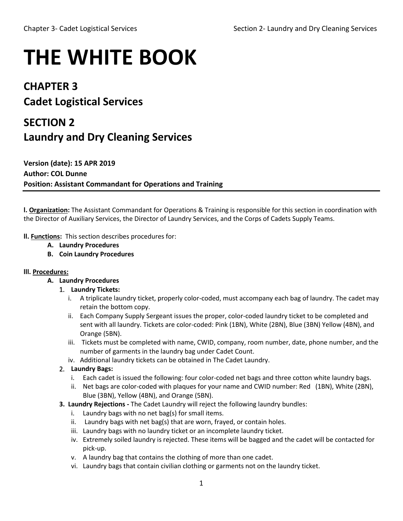# **THE WHITE BOOK**

## **CHAPTER 3**

# **Cadet Logistical Services**

# **SECTION 2 Laundry and Dry Cleaning Services**

**Version (date): 15 APR 2019 Author: COL Dunne Position: Assistant Commandant for Operations and Training**

**l. Organization:** The Assistant Commandant for Operations & Training is responsible for this section in coordination with the Director of Auxiliary Services, the Director of Laundry Services, and the Corps of Cadets Supply Teams.

**ll. Functions:** This section describes procedures for:

- **A. Laundry Procedures**
- **B. Coin Laundry Procedures**

#### **lll. Procedures:**

- **A. Laundry Procedures**
	- 1. **Laundry Tickets:**
		- i. A triplicate laundry ticket, properly color-coded, must accompany each bag of laundry. The cadet may retain the bottom copy.
		- ii. Each Company Supply Sergeant issues the proper, color-coded laundry ticket to be completed and sent with all laundry. Tickets are color-coded: Pink (1BN), White (2BN), Blue (3BN) Yellow (4BN), and Orange (5BN).
		- iii. Tickets must be completed with name, CWID, company, room number, date, phone number, and the number of garments in the laundry bag under Cadet Count.
		- iv. Additional laundry tickets can be obtained in The Cadet Laundry.
	- 2. **Laundry Bags:**
		- i. Each cadet is issued the following: four color-coded net bags and three cotton white laundry bags.
		- ii. Net bags are color-coded with plaques for your name and CWID number: Red (1BN), White (2BN), Blue (3BN), Yellow (4BN), and Orange (5BN).
	- **3. Laundry Rejections -** The Cadet Laundry will reject the following laundry bundles:
		- i. Laundry bags with no net bag(s) for small items.
		- ii. Laundry bags with net bag(s) that are worn, frayed, or contain holes.
		- iii. Laundry bags with no laundry ticket or an incomplete laundry ticket.
		- iv. Extremely soiled laundry is rejected. These items will be bagged and the cadet will be contacted for pick-up.
		- v. A laundry bag that contains the clothing of more than one cadet.
		- vi. Laundry bags that contain civilian clothing or garments not on the laundry ticket.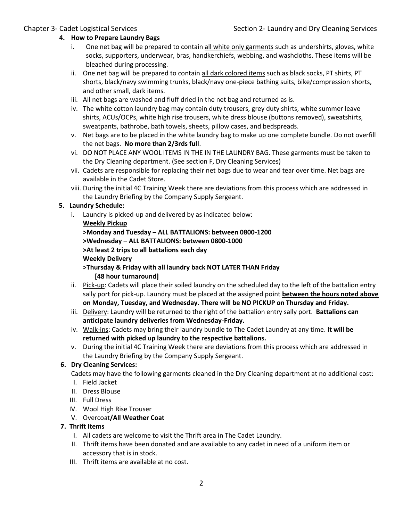#### **4. How to Prepare Laundry Bags**

- i. One net bag will be prepared to contain all white only garments such as undershirts, gloves, white socks, supporters, underwear, bras, handkerchiefs, webbing, and washcloths. These items will be bleached during processing.
- ii. One net bag will be prepared to contain all dark colored items such as black socks, PT shirts, PT shorts, black/navy swimming trunks, black/navy one-piece bathing suits, bike/compression shorts, and other small, dark items.
- iii. All net bags are washed and fluff dried in the net bag and returned as is.
- iv. The white cotton laundry bag may contain duty trousers, grey duty shirts, white summer leave shirts, ACUs/OCPs, white high rise trousers, white dress blouse (buttons removed), sweatshirts, sweatpants, bathrobe, bath towels, sheets, pillow cases, and bedspreads.
- v. Net bags are to be placed in the white laundry bag to make up one complete bundle. Do not overfill the net bags. **No more than 2/3rds full**.
- vi. DO NOT PLACE ANY WOOL ITEMS IN THE IN THE LAUNDRY BAG. These garments must be taken to the Dry Cleaning department. (See section F, Dry Cleaning Services)
- vii. Cadets are responsible for replacing their net bags due to wear and tear over time. Net bags are available in the Cadet Store.
- viii. During the initial 4C Training Week there are deviations from this process which are addressed in the Laundry Briefing by the Company Supply Sergeant.

#### **5. Laundry Schedule:**

i. Laundry is picked-up and delivered by as indicated below: **Weekly Pickup >Monday and Tuesday – ALL BATTALIONS: between 0800-1200 >Wednesday – ALL BATTALIONS: between 0800-1000 >At least 2 trips to all battalions each day Weekly Delivery >Thursday & Friday with all laundry back NOT LATER THAN Friday [48 hour turnaround]**

- ii. Pick-up: Cadets will place their soiled laundry on the scheduled day to the left of the battalion entry sally port for pick-up. Laundry must be placed at the assigned point **between the hours noted above on Monday, Tuesday, and Wednesday. There will be NO PICKUP on Thursday and Friday.**
- iii. Delivery: Laundry will be returned to the right of the battalion entry sally port. **Battalions can anticipate laundry deliveries from Wednesday-Friday.**
- iv. Walk-ins: Cadets may bring their laundry bundle to The Cadet Laundry at any time. **It will be returned with picked up laundry to the respective battalions.**
- v. During the initial 4C Training Week there are deviations from this process which are addressed in the Laundry Briefing by the Company Supply Sergeant.

#### **6. Dry Cleaning Services:**

Cadets may have the following garments cleaned in the Dry Cleaning department at no additional cost:

- I. Field Jacket
- II. Dress Blouse
- III. Full Dress
- IV. Wool High Rise Trouser
- V. Overcoat**/All Weather Coat**

#### **7. Thrift Items**

- I. All cadets are welcome to visit the Thrift area in The Cadet Laundry.
- II. Thrift items have been donated and are available to any cadet in need of a uniform item or accessory that is in stock.
- III. Thrift items are available at no cost.